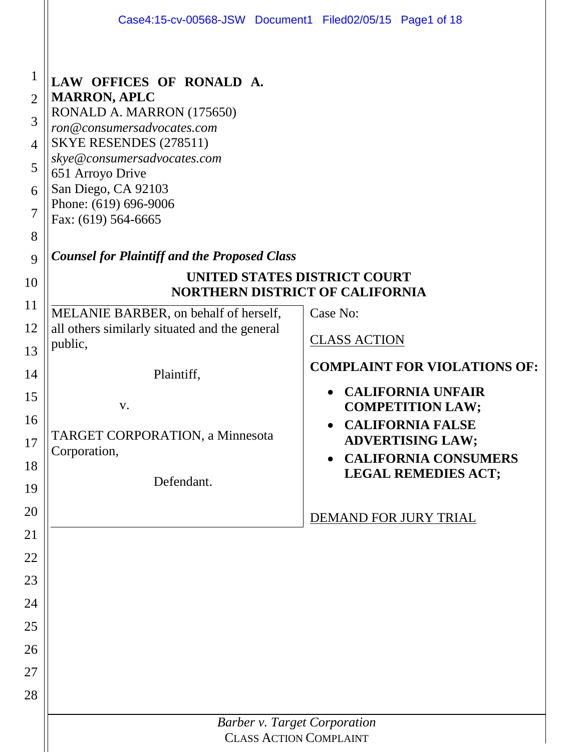|                                                                         | Case4:15-cv-00568-JSW Document1 Filed02/05/15 Page1 of 18                                                                                                                                                                                                                                                             |                                                                                   |  |  |  |  |  |  |  |  |
|-------------------------------------------------------------------------|-----------------------------------------------------------------------------------------------------------------------------------------------------------------------------------------------------------------------------------------------------------------------------------------------------------------------|-----------------------------------------------------------------------------------|--|--|--|--|--|--|--|--|
| $\mathbf{1}$<br>$\overline{2}$<br>3<br>4<br>5<br>6<br>7<br>8<br>9<br>10 | LAW OFFICES OF RONALD A.<br><b>MARRON, APLC</b><br>RONALD A. MARRON (175650)<br>ron@consumersadvocates.com<br>SKYE RESENDES (278511)<br>skye@consumersadvocates.com<br>651 Arroyo Drive<br>San Diego, CA 92103<br>Phone: (619) 696-9006<br>Fax: (619) 564-6665<br><b>Counsel for Plaintiff and the Proposed Class</b> | UNITED STATES DISTRICT COURT                                                      |  |  |  |  |  |  |  |  |
| 11                                                                      | MELANIE BARBER, on behalf of herself,                                                                                                                                                                                                                                                                                 | <b>NORTHERN DISTRICT OF CALIFORNIA</b><br>Case No:                                |  |  |  |  |  |  |  |  |
| 12                                                                      | all others similarly situated and the general                                                                                                                                                                                                                                                                         | <b>CLASS ACTION</b>                                                               |  |  |  |  |  |  |  |  |
| 13                                                                      | public,                                                                                                                                                                                                                                                                                                               | <b>COMPLAINT FOR VIOLATIONS OF:</b>                                               |  |  |  |  |  |  |  |  |
| 14                                                                      | Plaintiff,                                                                                                                                                                                                                                                                                                            |                                                                                   |  |  |  |  |  |  |  |  |
| 15                                                                      | V.                                                                                                                                                                                                                                                                                                                    | <b>CALIFORNIA UNFAIR</b><br><b>COMPETITION LAW;</b>                               |  |  |  |  |  |  |  |  |
| 16<br>17                                                                | <b>TARGET CORPORATION, a Minnesota</b><br>Corporation,                                                                                                                                                                                                                                                                | <b>CALIFORNIA FALSE</b><br><b>ADVERTISING LAW;</b><br><b>CALIFORNIA CONSUMERS</b> |  |  |  |  |  |  |  |  |
| 18                                                                      | Defendant.                                                                                                                                                                                                                                                                                                            | <b>LEGAL REMEDIES ACT;</b>                                                        |  |  |  |  |  |  |  |  |
| 19                                                                      |                                                                                                                                                                                                                                                                                                                       |                                                                                   |  |  |  |  |  |  |  |  |
| 20                                                                      |                                                                                                                                                                                                                                                                                                                       | DEMAND FOR JURY TRIAL                                                             |  |  |  |  |  |  |  |  |
| 21                                                                      |                                                                                                                                                                                                                                                                                                                       |                                                                                   |  |  |  |  |  |  |  |  |
| 22                                                                      |                                                                                                                                                                                                                                                                                                                       |                                                                                   |  |  |  |  |  |  |  |  |
| 23<br>24                                                                |                                                                                                                                                                                                                                                                                                                       |                                                                                   |  |  |  |  |  |  |  |  |
| 25                                                                      |                                                                                                                                                                                                                                                                                                                       |                                                                                   |  |  |  |  |  |  |  |  |
| 26                                                                      |                                                                                                                                                                                                                                                                                                                       |                                                                                   |  |  |  |  |  |  |  |  |
| 27                                                                      |                                                                                                                                                                                                                                                                                                                       |                                                                                   |  |  |  |  |  |  |  |  |
| 28                                                                      |                                                                                                                                                                                                                                                                                                                       |                                                                                   |  |  |  |  |  |  |  |  |
|                                                                         |                                                                                                                                                                                                                                                                                                                       | <b>Barber v. Target Corporation</b>                                               |  |  |  |  |  |  |  |  |
|                                                                         | <b>CLASS ACTION COMPLAINT</b>                                                                                                                                                                                                                                                                                         |                                                                                   |  |  |  |  |  |  |  |  |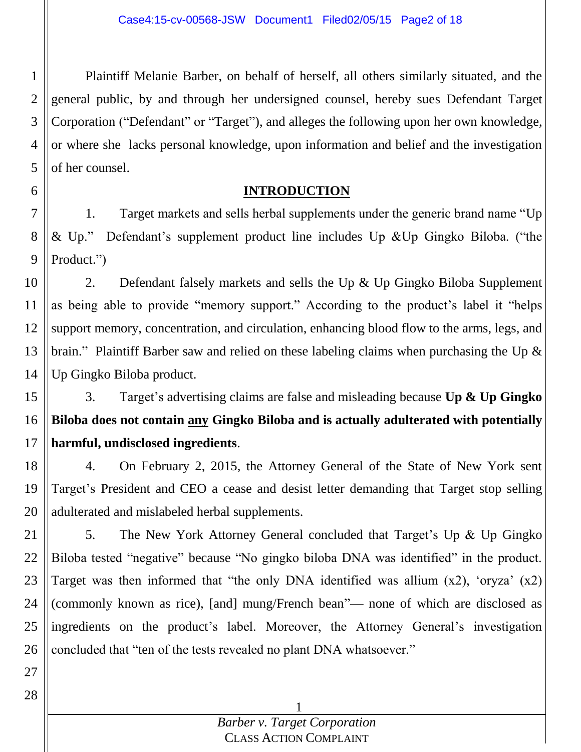1 2 3 4 5 Plaintiff Melanie Barber, on behalf of herself, all others similarly situated, and the general public, by and through her undersigned counsel, hereby sues Defendant Target Corporation ("Defendant" or "Target"), and alleges the following upon her own knowledge, or where she lacks personal knowledge, upon information and belief and the investigation of her counsel.

### **INTRODUCTION**

7 8 9 1. Target markets and sells herbal supplements under the generic brand name "Up & Up." Defendant's supplement product line includes Up &Up Gingko Biloba. ("the Product.")

10 11 12 13 14 2. Defendant falsely markets and sells the Up & Up Gingko Biloba Supplement as being able to provide "memory support." According to the product's label it "helps support memory, concentration, and circulation, enhancing blood flow to the arms, legs, and brain." Plaintiff Barber saw and relied on these labeling claims when purchasing the Up & Up Gingko Biloba product.

15 16 17 3. Target's advertising claims are false and misleading because **Up & Up Gingko Biloba does not contain any Gingko Biloba and is actually adulterated with potentially harmful, undisclosed ingredients**.

18 19 20 4. On February 2, 2015, the Attorney General of the State of New York sent Target's President and CEO a cease and desist letter demanding that Target stop selling adulterated and mislabeled herbal supplements.

21 22 23 24 25 26 5. The New York Attorney General concluded that Target's Up & Up Gingko Biloba tested "negative" because "No gingko biloba DNA was identified" in the product. Target was then informed that "the only DNA identified was allium  $(x2)$ , 'oryza'  $(x2)$ (commonly known as rice), [and] mung/French bean"— none of which are disclosed as ingredients on the product's label. Moreover, the Attorney General's investigation concluded that "ten of the tests revealed no plant DNA whatsoever."

27

28

6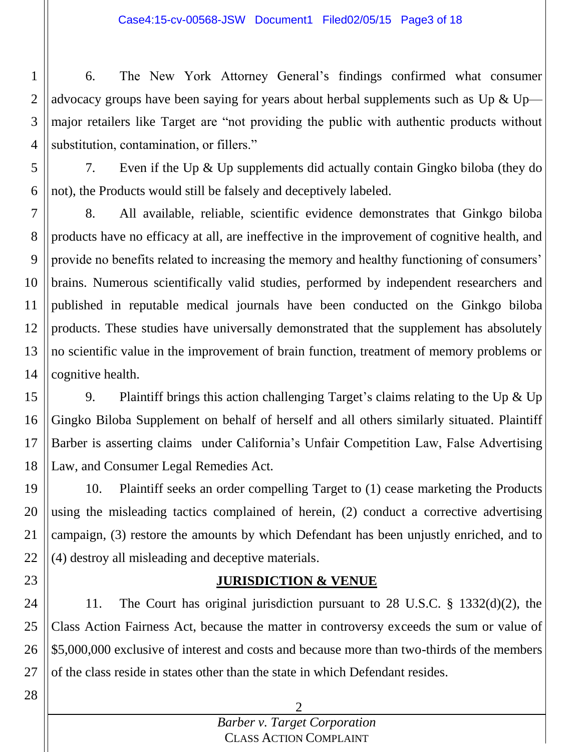1 2 3 4 6. The New York Attorney General's findings confirmed what consumer advocacy groups have been saying for years about herbal supplements such as Up  $\&$  Upmajor retailers like Target are "not providing the public with authentic products without substitution, contamination, or fillers."

5 6 7. Even if the Up & Up supplements did actually contain Gingko biloba (they do not), the Products would still be falsely and deceptively labeled.

7 8 9 10 11 12 13 14 8. All available, reliable, scientific evidence demonstrates that Ginkgo biloba products have no efficacy at all, are ineffective in the improvement of cognitive health, and provide no benefits related to increasing the memory and healthy functioning of consumers' brains. Numerous scientifically valid studies, performed by independent researchers and published in reputable medical journals have been conducted on the Ginkgo biloba products. These studies have universally demonstrated that the supplement has absolutely no scientific value in the improvement of brain function, treatment of memory problems or cognitive health.

15 16 17 18 9. Plaintiff brings this action challenging Target's claims relating to the Up  $\&$  Up Gingko Biloba Supplement on behalf of herself and all others similarly situated. Plaintiff Barber is asserting claims under California's Unfair Competition Law, False Advertising Law, and Consumer Legal Remedies Act.

19 20 21 22 10. Plaintiff seeks an order compelling Target to (1) cease marketing the Products using the misleading tactics complained of herein, (2) conduct a corrective advertising campaign, (3) restore the amounts by which Defendant has been unjustly enriched, and to (4) destroy all misleading and deceptive materials.

## **JURISDICTION & VENUE**

24 25 26 11. The Court has original jurisdiction pursuant to 28 U.S.C. § 1332(d)(2), the Class Action Fairness Act, because the matter in controversy exceeds the sum or value of \$5,000,000 exclusive of interest and costs and because more than two-thirds of the members of the class reside in states other than the state in which Defendant resides.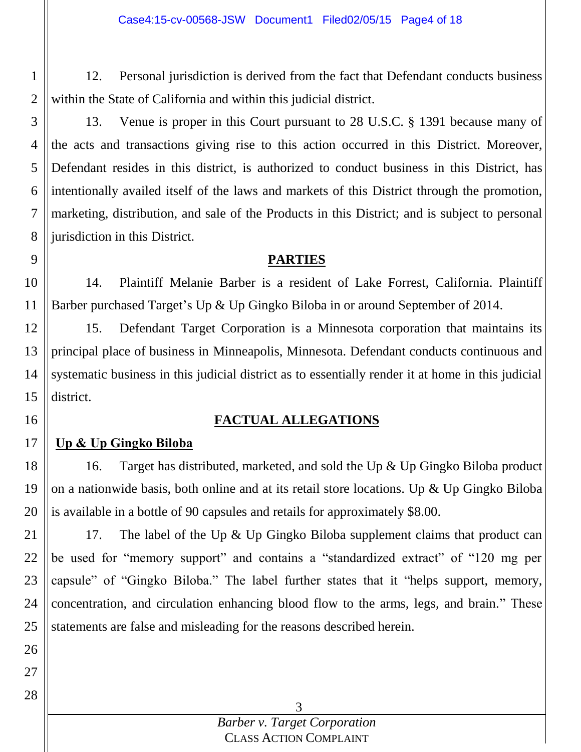12. Personal jurisdiction is derived from the fact that Defendant conducts business within the State of California and within this judicial district.

3 4 5 6 7 8 13. Venue is proper in this Court pursuant to 28 U.S.C. § 1391 because many of the acts and transactions giving rise to this action occurred in this District. Moreover, Defendant resides in this district, is authorized to conduct business in this District, has intentionally availed itself of the laws and markets of this District through the promotion, marketing, distribution, and sale of the Products in this District; and is subject to personal jurisdiction in this District.

## **PARTIES**

14. Plaintiff Melanie Barber is a resident of Lake Forrest, California. Plaintiff Barber purchased Target's Up & Up Gingko Biloba in or around September of 2014.

12 13 14 15 15. Defendant Target Corporation is a Minnesota corporation that maintains its principal place of business in Minneapolis, Minnesota. Defendant conducts continuous and systematic business in this judicial district as to essentially render it at home in this judicial district.

# **FACTUAL ALLEGATIONS**

#### 17 **Up & Up Gingko Biloba**

18 19 20 16. Target has distributed, marketed, and sold the Up & Up Gingko Biloba product on a nationwide basis, both online and at its retail store locations. Up & Up Gingko Biloba is available in a bottle of 90 capsules and retails for approximately \$8.00.

21 22 23 24 25 17. The label of the Up & Up Gingko Biloba supplement claims that product can be used for "memory support" and contains a "standardized extract" of "120 mg per capsule" of "Gingko Biloba." The label further states that it "helps support, memory, concentration, and circulation enhancing blood flow to the arms, legs, and brain." These statements are false and misleading for the reasons described herein.

26

27

1

2

9

10

11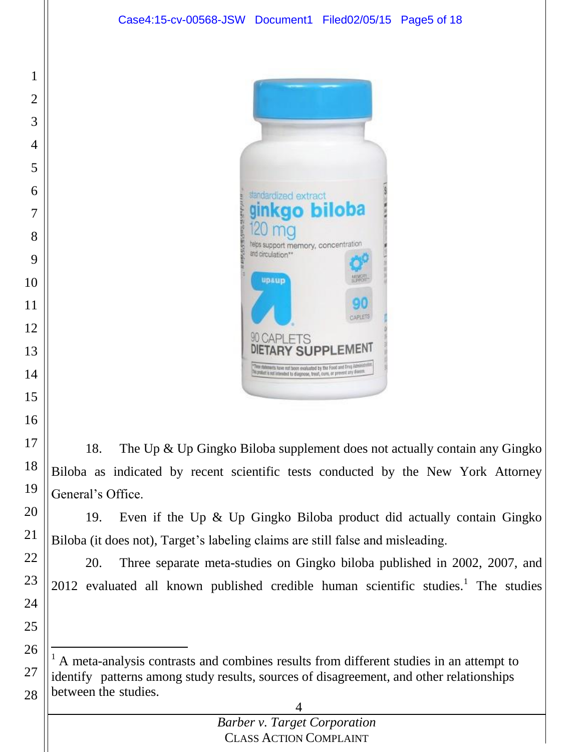

18. The Up & Up Gingko Biloba supplement does not actually contain any Gingko Biloba as indicated by recent scientific tests conducted by the New York Attorney General's Office.

19. Even if the Up & Up Gingko Biloba product did actually contain Gingko Biloba (it does not), Target's labeling claims are still false and misleading.

20. Three separate meta-studies on Gingko biloba published in 2002, 2007, and 2012 evaluated all known published credible human scientific studies.<sup>1</sup> The studies

 A meta-analysis contrasts and combines results from different studies in an attempt to identify patterns among study results, sources of disagreement, and other relationships between the studies.

 $\overline{a}$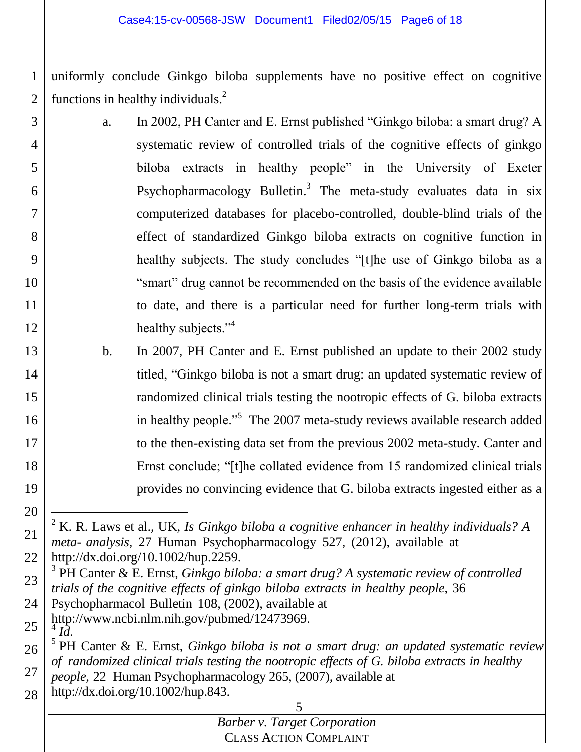1 2 uniformly conclude Ginkgo biloba supplements have no positive effect on cognitive functions in healthy individuals. $<sup>2</sup>$ </sup>

- 3 4 5 6 7 8 9 10 11 12 a. In 2002, PH Canter and E. Ernst published "Ginkgo biloba: a smart drug? A systematic review of controlled trials of the cognitive effects of ginkgo biloba extracts in healthy people" in the University of Exeter Psychopharmacology Bulletin.<sup>3</sup> The meta-study evaluates data in six computerized databases for placebo-controlled, double-blind trials of the effect of standardized Ginkgo biloba extracts on cognitive function in healthy subjects. The study concludes "[t]he use of Ginkgo biloba as a "smart" drug cannot be recommended on the basis of the evidence available to date, and there is a particular need for further long-term trials with healthy subjects."<sup>4</sup>
	- b. In 2007, PH Canter and E. Ernst published an update to their 2002 study titled, "Ginkgo biloba is not a smart drug: an updated systematic review of randomized clinical trials testing the nootropic effects of G. biloba extracts in healthy people."<sup>5</sup> The 2007 meta-study reviews available research added to the then-existing data set from the previous 2002 meta-study. Canter and Ernst conclude; "[t]he collated evidence from 15 randomized clinical trials provides no convincing evidence that G. biloba extracts ingested either as a

- 23 3 PH Canter & E. Ernst, *Ginkgo biloba: a smart drug? A systematic review of controlled trials of the cognitive effects of ginkgo biloba extracts in healthy people*, 36
- 24 Psychopharmacol Bulletin 108, (2002), available at
- 25 [http://www.ncbi.nlm.nih.gov/pubmed/12473969.](http://www.ncbi.nlm.nih.gov/pubmed/12473969) *Id.*

13

14

15

16

17

18

19

20

21

22

26

27

28 5 PH Canter & E. Ernst, *Ginkgo biloba is not a smart drug: an updated systematic review of randomized clinical trials testing the nootropic effects of G. biloba extracts in healthy people*, 22 Human Psychopharmacology 265, (2007), available at http://dx.doi.org/10.1002/hup.843.

l <sup>2</sup> K. R. Laws et al., UK, *Is Ginkgo biloba a cognitive enhancer in healthy individuals? A meta- analysis*, 27 Human Psychopharmacology 527, (2012), available at http://dx.doi.org/10.1002/hup.2259.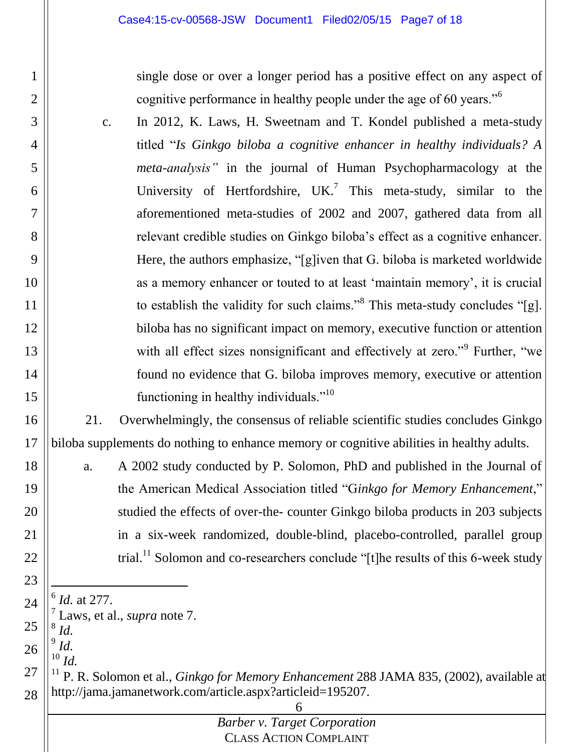single dose or over a longer period has a positive effect on any aspect of cognitive performance in healthy people under the age of 60 years."<sup>6</sup>

c. In 2012, K. Laws, H. Sweetnam and T. Kondel published a meta-study titled "*Is Ginkgo biloba a cognitive enhancer in healthy individuals? A meta-analysis"* in the journal of Human Psychopharmacology at the University of Hertfordshire, UK.<sup>7</sup> This meta-study, similar to the aforementioned meta-studies of 2002 and 2007, gathered data from all relevant credible studies on Ginkgo biloba's effect as a cognitive enhancer. Here, the authors emphasize, "[g]iven that G. biloba is marketed worldwide as a memory enhancer or touted to at least 'maintain memory', it is crucial to establish the validity for such claims."<sup>8</sup> This meta-study concludes "[g]. biloba has no significant impact on memory, executive function or attention with all effect sizes nonsignificant and effectively at zero."<sup>9</sup> Further, "we found no evidence that G. biloba improves memory, executive or attention functioning in healthy individuals."<sup>10</sup>

16 17 21. Overwhelmingly, the consensus of reliable scientific studies concludes Ginkgo biloba supplements do nothing to enhance memory or cognitive abilities in healthy adults.

a. A 2002 study conducted by P. Solomon, PhD and published in the Journal of the American Medical Association titled "G*inkgo for Memory Enhancement*," studied the effects of over-the- counter Ginkgo biloba products in 203 subjects in a six-week randomized, double-blind, placebo-controlled, parallel group trial.<sup>11</sup> Solomon and co-researchers conclude "[t]he results of this 6-week study

24 25 26 27 28  $\overline{a}$ 6 *Id.* at 277. 7 Laws, et al., *supra* note 7. 8 *Id.* 9 *Id.* <sup>10</sup> *Id.*

1

2

3

4

5

6

7

8

9

10

11

12

13

14

15

18

19

20

21

22

23

<sup>11</sup> P. R. Solomon et al., *Ginkgo for Memory Enhancement* 288 JAMA 835, (2002), available at [http://jama.jamanetwork.com/article.aspx?articleid=195207.](http://jama.jamanetwork.com/article.aspx?articleid=195207)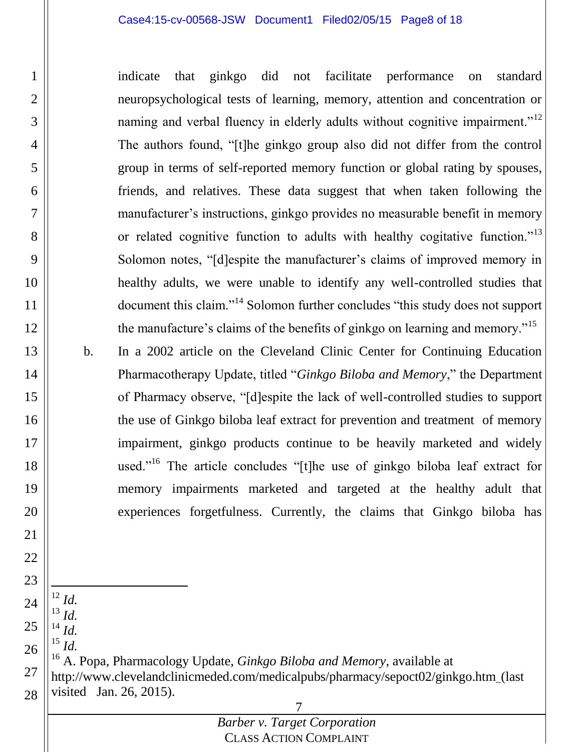#### Case4:15-cv-00568-JSW Document1 Filed02/05/15 Page8 of 18

indicate that ginkgo did not facilitate performance on standard neuropsychological tests of learning, memory, attention and concentration or naming and verbal fluency in elderly adults without cognitive impairment.<sup>"12</sup> The authors found, "[t]he ginkgo group also did not differ from the control group in terms of self-reported memory function or global rating by spouses, friends, and relatives. These data suggest that when taken following the manufacturer's instructions, ginkgo provides no measurable benefit in memory or related cognitive function to adults with healthy cogitative function.<sup>"13</sup> Solomon notes, "[d]espite the manufacturer's claims of improved memory in healthy adults, we were unable to identify any well-controlled studies that document this claim."<sup>14</sup> Solomon further concludes "this study does not support the manufacture's claims of the benefits of ginkgo on learning and memory."<sup>15</sup>

- b. In a 2002 article on the Cleveland Clinic Center for Continuing Education Pharmacotherapy Update, titled "*Ginkgo Biloba and Memory*," the Department of Pharmacy observe, "[d]espite the lack of well-controlled studies to support the use of Ginkgo biloba leaf extract for prevention and treatment of memory impairment, ginkgo products continue to be heavily marketed and widely used."<sup>16</sup> The article concludes "[t]he use of ginkgo biloba leaf extract for memory impairments marketed and targeted at the healthy adult that experiences forgetfulness. Currently, the claims that Ginkgo biloba has
- 19 20 21 22 23 24 25 26 27

 $\overline{a}$ <sup>12</sup> *Id.* <sup>13</sup> *Id.* <sup>14</sup> *Id.* <sup>15</sup> *Id.*

28

1

2

3

4

5

6

7

8

9

10

11

12

13

14

15

16

17

18

7 <sup>16</sup> A. Popa, Pharmacology Update, *Ginkgo Biloba and Memory*, available at http://www.clevelandclinicmeded.com/medicalpubs/pharmacy/sepoct02/ginkgo.htm (last visited Jan. 26, 2015).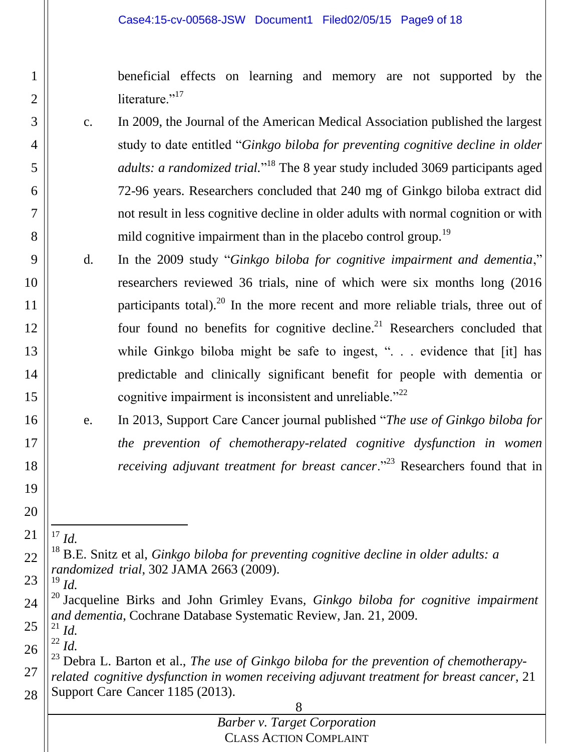beneficial effects on learning and memory are not supported by the literature." $17$ 

- c. In 2009, the Journal of the American Medical Association published the largest study to date entitled "*Ginkgo biloba for preventing cognitive decline in older*  adults: a randomized trial.<sup>"18</sup> The 8 year study included 3069 participants aged 72-96 years. Researchers concluded that 240 mg of Ginkgo biloba extract did not result in less cognitive decline in older adults with normal cognition or with mild cognitive impairment than in the placebo control group.<sup>19</sup>
- d. In the 2009 study "*Ginkgo biloba for cognitive impairment and dementia*," researchers reviewed 36 trials, nine of which were six months long (2016 participants total).<sup>20</sup> In the more recent and more reliable trials, three out of four found no benefits for cognitive decline.<sup>21</sup> Researchers concluded that while Ginkgo biloba might be safe to ingest, ". . . evidence that [it] has predictable and clinically significant benefit for people with dementia or cognitive impairment is inconsistent and unreliable."<sup>22</sup>
	- e. In 2013, Support Care Cancer journal published "*The use of Ginkgo biloba for the prevention of chemotherapy-related cognitive dysfunction in women receiving adjuvant treatment for breast cancer.*"<sup>23</sup> Researchers found that in
- 21 l  $^{17}$  *Id.*

1

2

3

4

5

6

7

8

9

10

11

12

13

14

15

16

17

18

19

20

22

23 <sup>19</sup> *Id.*

26  $^{22}$  *Id.* 

<sup>18</sup> B.E. Snitz et al, *Ginkgo biloba for preventing cognitive decline in older adults: a randomized trial*, 302 JAMA 2663 (2009).

<sup>24</sup> 25 <sup>20</sup> Jacqueline Birks and John Grimley Evans*, Ginkgo biloba for cognitive impairment and dementia*, Cochrane Database Systematic Review, Jan. 21, 2009.  $^{21}$  *Id.* 

<sup>27</sup> 28 <sup>23</sup> Debra L. Barton et al., *The use of Ginkgo biloba for the prevention of chemotherapyrelated cognitive dysfunction in women receiving adjuvant treatment for breast cancer*, 21 Support Care Cancer 1185 (2013).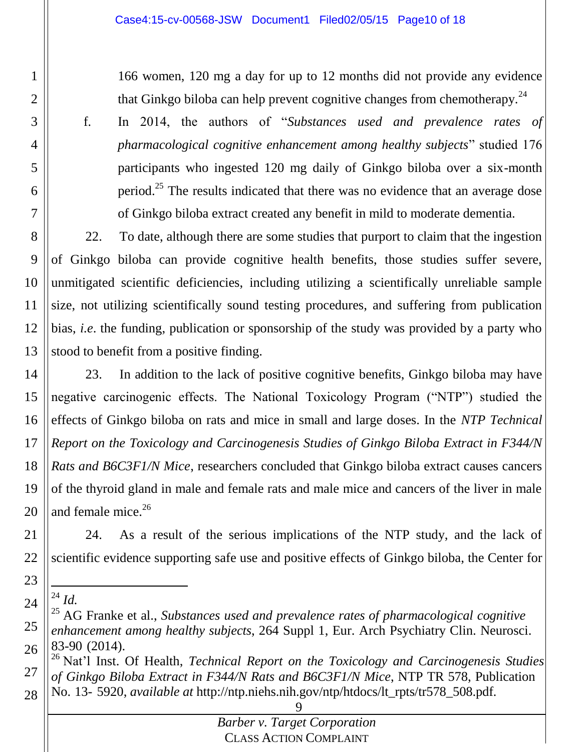166 women, 120 mg a day for up to 12 months did not provide any evidence that Ginkgo biloba can help prevent cognitive changes from chemotherapy.<sup>24</sup>

1

2

3

4

5

6

7

f. In 2014, the authors of "*Substances used and prevalence rates of pharmacological cognitive enhancement among healthy subjects*" studied 176 participants who ingested 120 mg daily of Ginkgo biloba over a six-month period.<sup>25</sup> The results indicated that there was no evidence that an average dose of Ginkgo biloba extract created any benefit in mild to moderate dementia.

8 9 10 11 12 13 22. To date, although there are some studies that purport to claim that the ingestion of Ginkgo biloba can provide cognitive health benefits, those studies suffer severe, unmitigated scientific deficiencies, including utilizing a scientifically unreliable sample size, not utilizing scientifically sound testing procedures, and suffering from publication bias, *i.e*. the funding, publication or sponsorship of the study was provided by a party who stood to benefit from a positive finding.

14 15 16 17 18 19 20 23. In addition to the lack of positive cognitive benefits, Ginkgo biloba may have negative carcinogenic effects. The National Toxicology Program ("NTP") studied the effects of Ginkgo biloba on rats and mice in small and large doses. In the *NTP Technical Report on the Toxicology and Carcinogenesis Studies of Ginkgo Biloba Extract in F344/N Rats and B6C3F1/N Mice*, researchers concluded that Ginkgo biloba extract causes cancers of the thyroid gland in male and female rats and male mice and cancers of the liver in male and female mice.<sup>26</sup>

21 22 24. As a result of the serious implications of the NTP study, and the lack of scientific evidence supporting safe use and positive effects of Ginkgo biloba, the Center for

<sup>23</sup> 24  $\overline{a}$ <sup>24</sup> *Id.*

<sup>25</sup> 26 <sup>25</sup> AG Franke et al., *Substances used and prevalence rates of pharmacological cognitive enhancement among healthy subjects*, 264 Suppl 1, Eur. Arch Psychiatry Clin. Neurosci. 83-90 (2014).

<sup>27</sup> 28 <sup>26</sup> Nat'l Inst. Of Health, *Technical Report on the Toxicology and Carcinogenesis Studies of Ginkgo Biloba Extract in F344/N Rats and B6C3F1/N Mice*, NTP TR 578, Publication No. 13- 5920, *available at* [http://ntp.niehs.nih.gov/ntp/htdocs/lt\\_rpts/tr578\\_508.pdf](ntp.niehs.nih.gov/ntp/htdocs/lt_rpts/tr578_508.pdf)*.*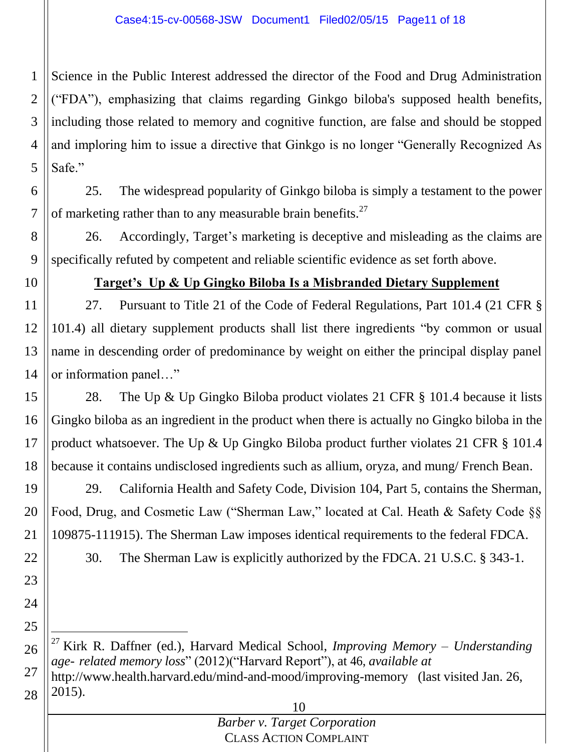1 2 3 4 5 Science in the Public Interest addressed the director of the Food and Drug Administration ("FDA"), emphasizing that claims regarding Ginkgo biloba's supposed health benefits, including those related to memory and cognitive function, are false and should be stopped and imploring him to issue a directive that Ginkgo is no longer "Generally Recognized As Safe."

6 7 25. The widespread popularity of Ginkgo biloba is simply a testament to the power of marketing rather than to any measurable brain benefits.<sup>27</sup>

8 9 26. Accordingly, Target's marketing is deceptive and misleading as the claims are specifically refuted by competent and reliable scientific evidence as set forth above.

10

22

23

24

25

## **Target's Up & Up Gingko Biloba Is a Misbranded Dietary Supplement**

11 12 13 14 27. Pursuant to Title 21 of the Code of Federal Regulations, Part 101.4 (21 CFR § 101.4) all dietary supplement products shall list there ingredients "by common or usual name in descending order of predominance by weight on either the principal display panel or information panel…"

15 16 17 18 28. The Up & Up Gingko Biloba product violates 21 CFR § 101.4 because it lists Gingko biloba as an ingredient in the product when there is actually no Gingko biloba in the product whatsoever. The Up & Up Gingko Biloba product further violates 21 CFR § 101.4 because it contains undisclosed ingredients such as allium, oryza, and mung/ French Bean.

19 20 21 29. California Health and Safety Code, Division 104, Part 5, contains the Sherman, Food, Drug, and Cosmetic Law ("Sherman Law," located at Cal. Heath & Safety Code §§ 109875-111915). The Sherman Law imposes identical requirements to the federal FDCA.

30. The Sherman Law is explicitly authorized by the FDCA. 21 U.S.C. § 343-1.

26 27 28  $\overline{a}$ <sup>27</sup> Kirk R. Daffner (ed.), Harvard Medical School, *Improving Memory – Understanding age- related memory loss*" (2012)("Harvard Report"), at 46, *available at*  http://www.health.harvard.edu/mind-and-mood/improving-memory (last visited Jan. 26, 2015).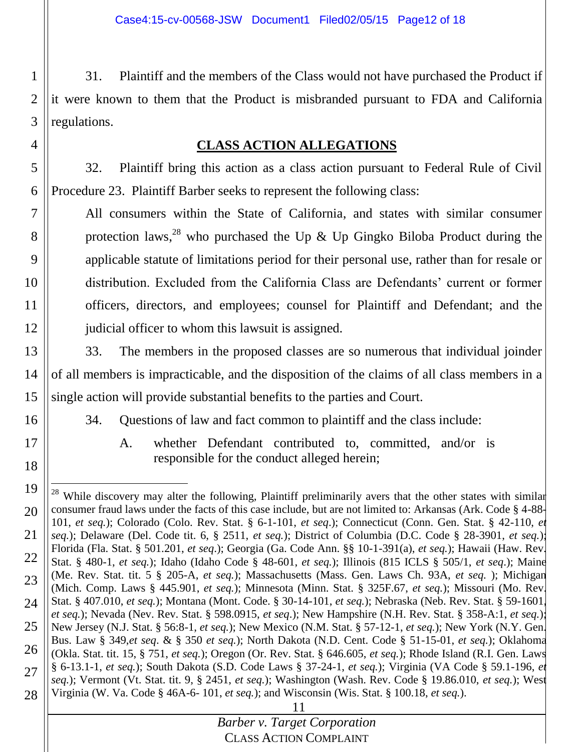1 2 3 31. Plaintiff and the members of the Class would not have purchased the Product if it were known to them that the Product is misbranded pursuant to FDA and California regulations.

## **CLASS ACTION ALLEGATIONS**

5 6 32. Plaintiff bring this action as a class action pursuant to Federal Rule of Civil Procedure 23. Plaintiff Barber seeks to represent the following class:

7 8 9 10 11 12 All consumers within the State of California, and states with similar consumer protection laws,<sup>28</sup> who purchased the Up & Up Gingko Biloba Product during the applicable statute of limitations period for their personal use, rather than for resale or distribution. Excluded from the California Class are Defendants' current or former officers, directors, and employees; counsel for Plaintiff and Defendant; and the judicial officer to whom this lawsuit is assigned.

13 14 15 33. The members in the proposed classes are so numerous that individual joinder of all members is impracticable, and the disposition of the claims of all class members in a single action will provide substantial benefits to the parties and Court.

34. Questions of law and fact common to plaintiff and the class include:

16

17

18

4

A. whether Defendant contributed to, committed, and/or is responsible for the conduct alleged herein;

<sup>11</sup> 19 20 21 22 23 24 25 26 27 28  $\overline{a}$ <sup>28</sup> While discovery may alter the following, Plaintiff preliminarily avers that the other states with similar consumer fraud laws under the facts of this case include, but are not limited to: Arkansas (Ark. Code § 4-88- 101, *et seq.*); Colorado (Colo. Rev. Stat. § 6-1-101, *et seq*.); Connecticut (Conn. Gen. Stat. § 42-110, *et seq.*); Delaware (Del. Code tit. 6, § 2511, *et seq.*); District of Columbia (D.C. Code § 28-3901, *et seq.*); Florida (Fla. Stat. § 501.201, *et seq*.); Georgia (Ga. Code Ann. §§ 10-1-391(a), *et seq.*); Hawaii (Haw. Rev. Stat. § 480-1, *et seq.*); Idaho (Idaho Code § 48-601, *et seq.*); Illinois (815 ICLS § 505/1, *et seq*.); Maine (Me. Rev. Stat. tit. 5 § 205-A, *et seq.*); Massachusetts (Mass. Gen. Laws Ch. 93A, *et seq.* ); Michigan (Mich. Comp. Laws § 445.901, *et seq.*); Minnesota (Minn. Stat. § 325F.67, *et seq.*); Missouri (Mo. Rev. Stat. § 407.010, *et seq.*); Montana (Mont. Code. § 30-14-101, *et seq.*); Nebraska (Neb. Rev. Stat. § 59-1601, *et seq.*); Nevada (Nev. Rev. Stat. § 598.0915, *et seq*.); New Hampshire (N.H. Rev. Stat. § 358-A:1, *et seq.*); New Jersey (N.J. Stat. § 56:8-1, *et seq.*); New Mexico (N.M. Stat. § 57-12-1, *et seq.*); New York (N.Y. Gen. Bus. Law § 349,*et seq*. & § 350 *et seq.*); North Dakota (N.D. Cent. Code § 51-15-01, *et seq.*); Oklahoma (Okla. Stat. tit. 15, § 751, *et seq.*); Oregon (Or. Rev. Stat. § 646.605, *et seq.*); Rhode Island (R.I. Gen. Laws § 6-13.1-1, *et seq.*); South Dakota (S.D. Code Laws § 37-24-1, *et seq.*); Virginia (VA Code § 59.1-196, *et seq.*); Vermont (Vt. Stat. tit. 9, § 2451, *et seq.*); Washington (Wash. Rev. Code § 19.86.010, *et seq.*); West Virginia (W. Va. Code § 46A-6- 101, *et seq.*); and Wisconsin (Wis. Stat. § 100.18, *et seq.*).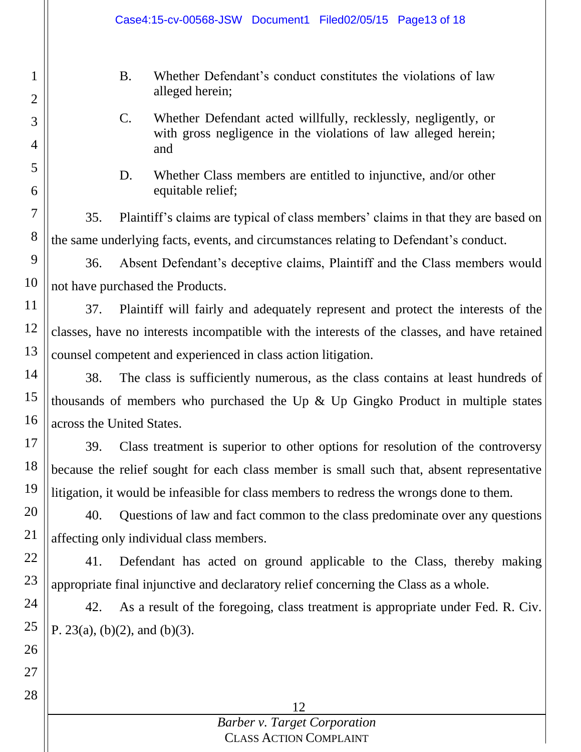|                     | Case4:15-cv-00568-JSW Document1 Filed02/05/15 Page13 of 18                                                                                                 |  |  |  |  |  |  |  |
|---------------------|------------------------------------------------------------------------------------------------------------------------------------------------------------|--|--|--|--|--|--|--|
| 1<br>$\overline{2}$ | <b>B.</b><br>Whether Defendant's conduct constitutes the violations of law<br>alleged herein;                                                              |  |  |  |  |  |  |  |
| 3<br>$\overline{4}$ | $\mathcal{C}$ .<br>Whether Defendant acted willfully, recklessly, negligently, or<br>with gross negligence in the violations of law alleged herein;<br>and |  |  |  |  |  |  |  |
| 5<br>6              | D.<br>Whether Class members are entitled to injunctive, and/or other<br>equitable relief;                                                                  |  |  |  |  |  |  |  |
| $\overline{7}$      | 35.<br>Plaintiff's claims are typical of class members' claims in that they are based on                                                                   |  |  |  |  |  |  |  |
| $8\,$               | the same underlying facts, events, and circumstances relating to Defendant's conduct.                                                                      |  |  |  |  |  |  |  |
| 9                   | Absent Defendant's deceptive claims, Plaintiff and the Class members would<br>36.                                                                          |  |  |  |  |  |  |  |
| 10                  | not have purchased the Products.                                                                                                                           |  |  |  |  |  |  |  |
| 11                  | 37.<br>Plaintiff will fairly and adequately represent and protect the interests of the                                                                     |  |  |  |  |  |  |  |
| 12                  | classes, have no interests incompatible with the interests of the classes, and have retained                                                               |  |  |  |  |  |  |  |
| 13                  | counsel competent and experienced in class action litigation.                                                                                              |  |  |  |  |  |  |  |
| 14                  | 38.<br>The class is sufficiently numerous, as the class contains at least hundreds of                                                                      |  |  |  |  |  |  |  |
| 15                  | thousands of members who purchased the Up $\&$ Up Gingko Product in multiple states                                                                        |  |  |  |  |  |  |  |
| 16                  | across the United States.                                                                                                                                  |  |  |  |  |  |  |  |
| 17                  | 39.<br>Class treatment is superior to other options for resolution of the controversy                                                                      |  |  |  |  |  |  |  |
| 18                  | because the relief sought for each class member is small such that, absent representative                                                                  |  |  |  |  |  |  |  |
| 19                  | litigation, it would be infeasible for class members to redress the wrongs done to them.                                                                   |  |  |  |  |  |  |  |
| 20                  | 40.<br>Questions of law and fact common to the class predominate over any questions                                                                        |  |  |  |  |  |  |  |
| 21                  | affecting only individual class members.                                                                                                                   |  |  |  |  |  |  |  |
| 22                  | 41.<br>Defendant has acted on ground applicable to the Class, thereby making                                                                               |  |  |  |  |  |  |  |
| 23                  | appropriate final injunctive and declaratory relief concerning the Class as a whole.                                                                       |  |  |  |  |  |  |  |
| 24                  | As a result of the foregoing, class treatment is appropriate under Fed. R. Civ.<br>42.                                                                     |  |  |  |  |  |  |  |
| 25                  | P. 23(a), (b)(2), and (b)(3).                                                                                                                              |  |  |  |  |  |  |  |
| 26                  |                                                                                                                                                            |  |  |  |  |  |  |  |
| 27                  |                                                                                                                                                            |  |  |  |  |  |  |  |
| 28                  | 12                                                                                                                                                         |  |  |  |  |  |  |  |
|                     | <b>Barber v. Target Corporation</b>                                                                                                                        |  |  |  |  |  |  |  |
|                     | <b>CLASS ACTION COMPLAINT</b>                                                                                                                              |  |  |  |  |  |  |  |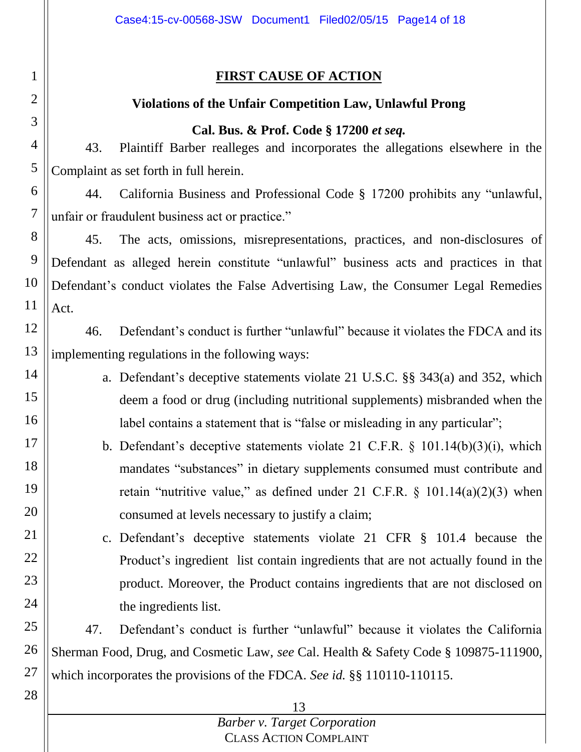## **FIRST CAUSE OF ACTION**

1

2

3

4

5

14

15

16

17

18

19

20

21

22

23

24

28

## **Violations of the Unfair Competition Law, Unlawful Prong**

#### **Cal. Bus. & Prof. Code § 17200** *et seq.*

43. Plaintiff Barber realleges and incorporates the allegations elsewhere in the Complaint as set forth in full herein.

6 7 44. California Business and Professional Code § 17200 prohibits any "unlawful, unfair or fraudulent business act or practice."

8 9 10 11 45. The acts, omissions, misrepresentations, practices, and non-disclosures of Defendant as alleged herein constitute "unlawful" business acts and practices in that Defendant's conduct violates the False Advertising Law, the Consumer Legal Remedies Act.

12 13 46. Defendant's conduct is further "unlawful" because it violates the FDCA and its implementing regulations in the following ways:

- a. Defendant's deceptive statements violate 21 U.S.C. §§ 343(a) and 352, which deem a food or drug (including nutritional supplements) misbranded when the label contains a statement that is "false or misleading in any particular";
	- b. Defendant's deceptive statements violate 21 C.F.R. § 101.14(b)(3)(i), which mandates "substances" in dietary supplements consumed must contribute and retain "nutritive value," as defined under 21 C.F.R.  $\S$  101.14(a)(2)(3) when consumed at levels necessary to justify a claim;

c. Defendant's deceptive statements violate 21 CFR § 101.4 because the Product's ingredient list contain ingredients that are not actually found in the product. Moreover, the Product contains ingredients that are not disclosed on the ingredients list.

25 26 27 47. Defendant's conduct is further "unlawful" because it violates the California Sherman Food, Drug, and Cosmetic Law, *see* Cal. Health & Safety Code § 109875-111900, which incorporates the provisions of the FDCA*. See id.* §§ 110110-110115.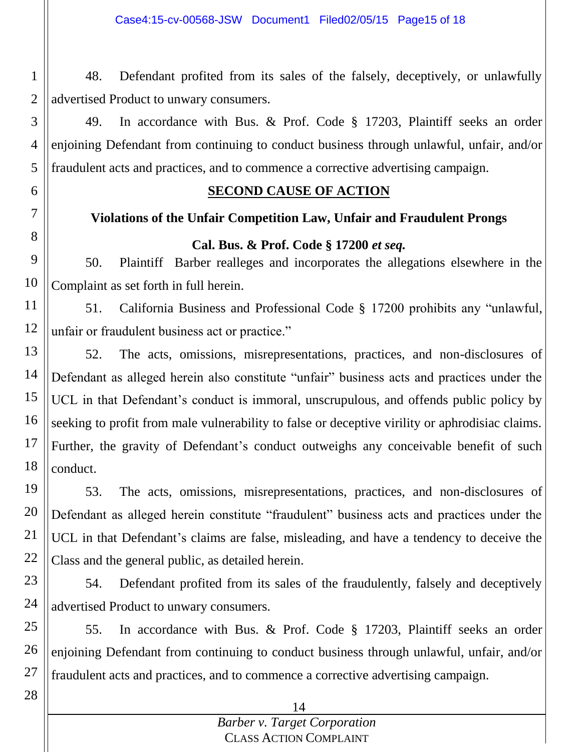1 2 48. Defendant profited from its sales of the falsely, deceptively, or unlawfully advertised Product to unwary consumers.

49. In accordance with Bus. & Prof. Code § 17203, Plaintiff seeks an order enjoining Defendant from continuing to conduct business through unlawful, unfair, and/or fraudulent acts and practices, and to commence a corrective advertising campaign.

3

4

5

6

7

8

28

## **SECOND CAUSE OF ACTION**

# **Violations of the Unfair Competition Law, Unfair and Fraudulent Prongs**

# **Cal. Bus. & Prof. Code § 17200** *et seq.*

9 10 50. Plaintiff Barber realleges and incorporates the allegations elsewhere in the Complaint as set forth in full herein.

11 12 51. California Business and Professional Code § 17200 prohibits any "unlawful, unfair or fraudulent business act or practice."

13 14 15 16 17 18 52. The acts, omissions, misrepresentations, practices, and non-disclosures of Defendant as alleged herein also constitute "unfair" business acts and practices under the UCL in that Defendant's conduct is immoral, unscrupulous, and offends public policy by seeking to profit from male vulnerability to false or deceptive virility or aphrodisiac claims. Further, the gravity of Defendant's conduct outweighs any conceivable benefit of such conduct.

19 20 21 22 53. The acts, omissions, misrepresentations, practices, and non-disclosures of Defendant as alleged herein constitute "fraudulent" business acts and practices under the UCL in that Defendant's claims are false, misleading, and have a tendency to deceive the Class and the general public, as detailed herein.

23 24 54. Defendant profited from its sales of the fraudulently, falsely and deceptively advertised Product to unwary consumers.

25 26 27 55. In accordance with Bus. & Prof. Code § 17203, Plaintiff seeks an order enjoining Defendant from continuing to conduct business through unlawful, unfair, and/or fraudulent acts and practices, and to commence a corrective advertising campaign.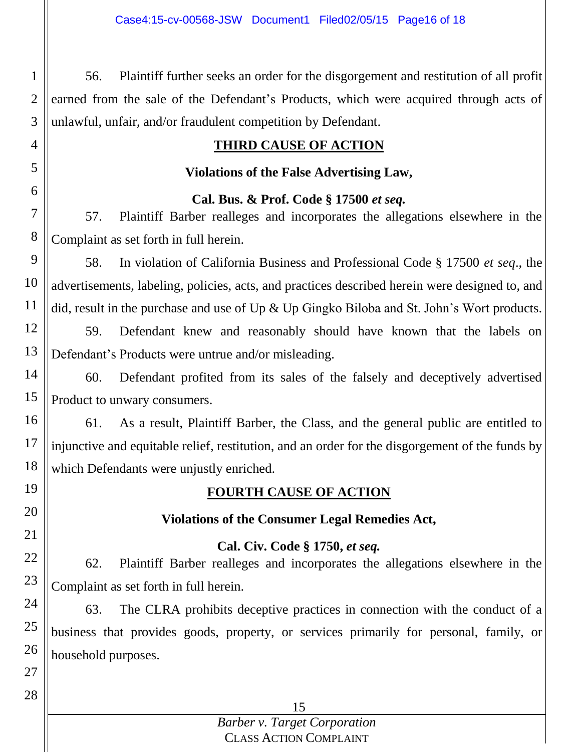1 2 3 56. Plaintiff further seeks an order for the disgorgement and restitution of all profit earned from the sale of the Defendant's Products, which were acquired through acts of unlawful, unfair, and/or fraudulent competition by Defendant.

## **THIRD CAUSE OF ACTION**

#### **Violations of the False Advertising Law,**

#### **Cal. Bus. & Prof. Code § 17500** *et seq.*

57. Plaintiff Barber realleges and incorporates the allegations elsewhere in the Complaint as set forth in full herein.

9 10 11 58. In violation of California Business and Professional Code § 17500 *et seq*., the advertisements, labeling, policies, acts, and practices described herein were designed to, and did, result in the purchase and use of Up & Up Gingko Biloba and St. John's Wort products.

12 13 59. Defendant knew and reasonably should have known that the labels on Defendant's Products were untrue and/or misleading.

14 15 60. Defendant profited from its sales of the falsely and deceptively advertised Product to unwary consumers.

16 17 18 61. As a result, Plaintiff Barber, the Class, and the general public are entitled to injunctive and equitable relief, restitution, and an order for the disgorgement of the funds by which Defendants were unjustly enriched.

19 20

21

22

23

24

25

26

27

4

5

6

7

8

# **FOURTH CAUSE OF ACTION**

## **Violations of the Consumer Legal Remedies Act,**

#### **Cal. Civ. Code § 1750,** *et seq.*

62. Plaintiff Barber realleges and incorporates the allegations elsewhere in the Complaint as set forth in full herein.

63. The CLRA prohibits deceptive practices in connection with the conduct of a business that provides goods, property, or services primarily for personal, family, or household purposes.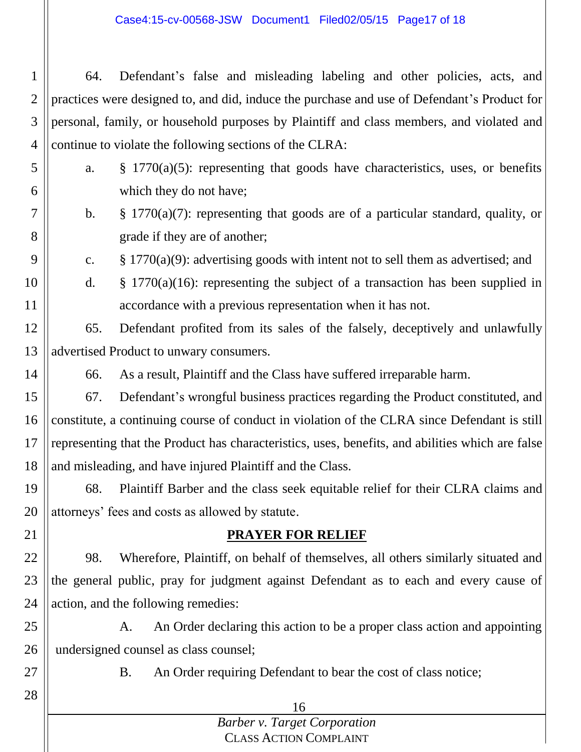Case4:15-cv-00568-JSW Document1 Filed02/05/15 Page17 of 18

1 2 3 4 64. Defendant's false and misleading labeling and other policies, acts, and practices were designed to, and did, induce the purchase and use of Defendant's Product for personal, family, or household purposes by Plaintiff and class members, and violated and continue to violate the following sections of the CLRA:

- a. § 1770(a)(5): representing that goods have characteristics, uses, or benefits which they do not have;
	- b. § 1770(a)(7): representing that goods are of a particular standard, quality, or grade if they are of another;
	- c. § 1770(a)(9): advertising goods with intent not to sell them as advertised; and
- 10 11 d.  $§ 1770(a)(16)$ : representing the subject of a transaction has been supplied in accordance with a previous representation when it has not.
- 12 13 65. Defendant profited from its sales of the falsely, deceptively and unlawfully advertised Product to unwary consumers.
- 14

5

6

7

8

9

66. As a result, Plaintiff and the Class have suffered irreparable harm.

15 16 17 18 67. Defendant's wrongful business practices regarding the Product constituted, and constitute, a continuing course of conduct in violation of the CLRA since Defendant is still representing that the Product has characteristics, uses, benefits, and abilities which are false and misleading, and have injured Plaintiff and the Class.

19 20 68. Plaintiff Barber and the class seek equitable relief for their CLRA claims and attorneys' fees and costs as allowed by statute.

## **PRAYER FOR RELIEF**

22 23 24 98. Wherefore, Plaintiff, on behalf of themselves, all others similarly situated and the general public, pray for judgment against Defendant as to each and every cause of action, and the following remedies:

25 26 A. An Order declaring this action to be a proper class action and appointing undersigned counsel as class counsel;

27

28

21

B. An Order requiring Defendant to bear the cost of class notice;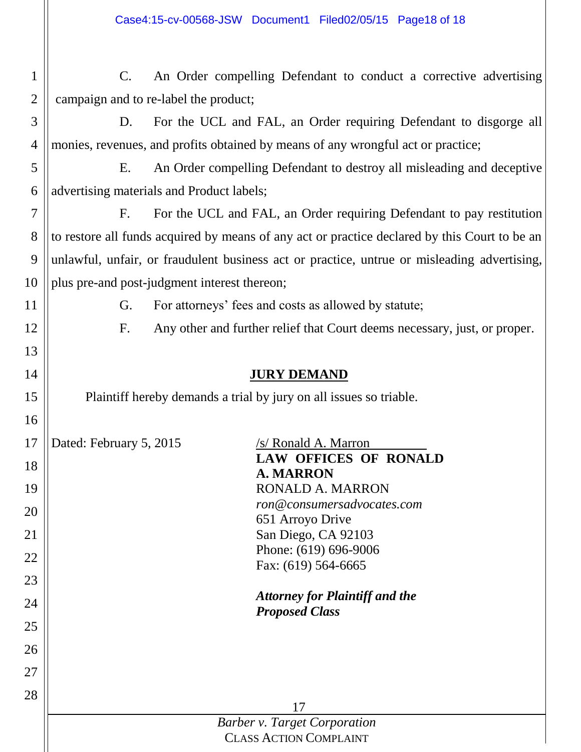| $\mathbf{1}$   | An Order compelling Defendant to conduct a corrective advertising<br>$C_{\cdot}$              |  |  |  |  |  |
|----------------|-----------------------------------------------------------------------------------------------|--|--|--|--|--|
| $\overline{2}$ | campaign and to re-label the product;                                                         |  |  |  |  |  |
| 3              | For the UCL and FAL, an Order requiring Defendant to disgorge all<br>D.                       |  |  |  |  |  |
| 4              | monies, revenues, and profits obtained by means of any wrongful act or practice;              |  |  |  |  |  |
| 5              | An Order compelling Defendant to destroy all misleading and deceptive<br>Ε.                   |  |  |  |  |  |
| 6              | advertising materials and Product labels;                                                     |  |  |  |  |  |
| 7              | For the UCL and FAL, an Order requiring Defendant to pay restitution<br>$F_{\cdot}$           |  |  |  |  |  |
| 8              | to restore all funds acquired by means of any act or practice declared by this Court to be an |  |  |  |  |  |
| 9              | unlawful, unfair, or fraudulent business act or practice, untrue or misleading advertising,   |  |  |  |  |  |
| 10             | plus pre-and post-judgment interest thereon;                                                  |  |  |  |  |  |
| 11             | For attorneys' fees and costs as allowed by statute;<br>G.                                    |  |  |  |  |  |
| 12             | Any other and further relief that Court deems necessary, just, or proper.<br>F.               |  |  |  |  |  |
| 13             |                                                                                               |  |  |  |  |  |
| 14             | <b>JURY DEMAND</b>                                                                            |  |  |  |  |  |
| 15             | Plaintiff hereby demands a trial by jury on all issues so triable.                            |  |  |  |  |  |
| 16             |                                                                                               |  |  |  |  |  |
| 17             | Dated: February 5, 2015<br>/s/ Ronald A. Marron                                               |  |  |  |  |  |
| 18             | <b>LAW OFFICES OF RONALD</b><br><b>A. MARRON</b>                                              |  |  |  |  |  |
| 19             | <b>RONALD A. MARRON</b>                                                                       |  |  |  |  |  |
| 20             | ron@consumersadvocates.com                                                                    |  |  |  |  |  |
| 21             | 651 Arroyo Drive<br>San Diego, CA 92103                                                       |  |  |  |  |  |
|                | Phone: (619) 696-9006                                                                         |  |  |  |  |  |
| 22             | Fax: (619) 564-6665                                                                           |  |  |  |  |  |
| 23             |                                                                                               |  |  |  |  |  |
| 24             | <b>Attorney for Plaintiff and the</b><br><b>Proposed Class</b>                                |  |  |  |  |  |
| 25             |                                                                                               |  |  |  |  |  |
| 26             |                                                                                               |  |  |  |  |  |
| 27             |                                                                                               |  |  |  |  |  |
| 28             |                                                                                               |  |  |  |  |  |
|                | 17                                                                                            |  |  |  |  |  |
|                | <b>Barber v. Target Corporation</b><br><b>CLASS ACTION COMPLAINT</b>                          |  |  |  |  |  |
|                |                                                                                               |  |  |  |  |  |